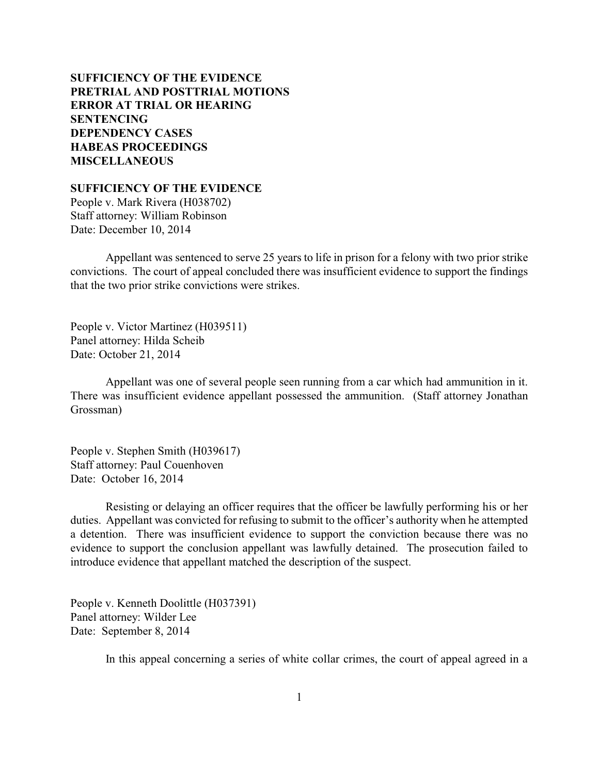# **SUFFICIENCY OF THE EVIDENCE [PRETRIAL AND POSTTRIAL MOTIONS](#page-1-0) [ERROR AT TRIAL OR HEARING](#page-3-0) [SENTENCING](#page-5-0) [DEPENDENCY CASES](#page-30-0) [HABEAS PROCEEDINGS](#page-32-0)  [MISCELLANEOUS](#page-32-0)**

**SUFFICIENCY OF THE EVIDENCE**

People v. Mark Rivera (H038702) Staff attorney: William Robinson Date: December 10, 2014

Appellant was sentenced to serve 25 years to life in prison for a felony with two prior strike convictions. The court of appeal concluded there was insufficient evidence to support the findings that the two prior strike convictions were strikes.

People v. Victor Martinez (H039511) Panel attorney: Hilda Scheib Date: October 21, 2014

Appellant was one of several people seen running from a car which had ammunition in it. There was insufficient evidence appellant possessed the ammunition. (Staff attorney Jonathan Grossman)

People v. Stephen Smith (H039617) Staff attorney: Paul Couenhoven Date: October 16, 2014

Resisting or delaying an officer requires that the officer be lawfully performing his or her duties. Appellant was convicted for refusing to submit to the officer's authority when he attempted a detention. There was insufficient evidence to support the conviction because there was no evidence to support the conclusion appellant was lawfully detained. The prosecution failed to introduce evidence that appellant matched the description of the suspect.

People v. Kenneth Doolittle (H037391) Panel attorney: Wilder Lee Date: September 8, 2014

In this appeal concerning a series of white collar crimes, the court of appeal agreed in a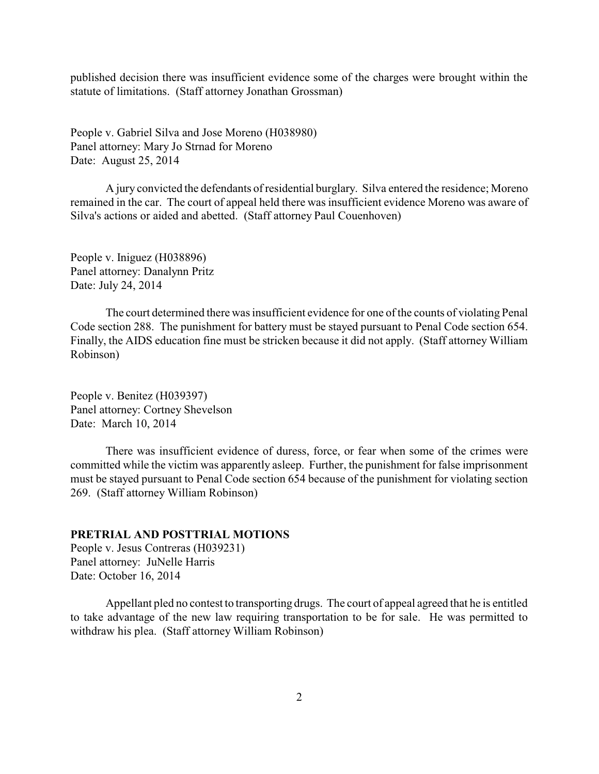<span id="page-1-0"></span>published decision there was insufficient evidence some of the charges were brought within the statute of limitations. (Staff attorney Jonathan Grossman)

People v. Gabriel Silva and Jose Moreno (H038980) Panel attorney: Mary Jo Strnad for Moreno Date: August 25, 2014

A jury convicted the defendants of residential burglary. Silva entered the residence; Moreno remained in the car. The court of appeal held there was insufficient evidence Moreno was aware of Silva's actions or aided and abetted. (Staff attorney Paul Couenhoven)

People v. Iniguez (H038896) Panel attorney: Danalynn Pritz Date: July 24, 2014

The court determined there was insufficient evidence for one of the counts of violating Penal Code section 288. The punishment for battery must be stayed pursuant to Penal Code section 654. Finally, the AIDS education fine must be stricken because it did not apply. (Staff attorney William Robinson)

People v. Benitez (H039397) Panel attorney: Cortney Shevelson Date: March 10, 2014

There was insufficient evidence of duress, force, or fear when some of the crimes were committed while the victim was apparently asleep. Further, the punishment for false imprisonment must be stayed pursuant to Penal Code section 654 because of the punishment for violating section 269. (Staff attorney William Robinson)

#### **PRETRIAL AND POSTTRIAL MOTIONS**

People v. Jesus Contreras (H039231) Panel attorney: JuNelle Harris Date: October 16, 2014

Appellant pled no contest to transporting drugs. The court of appeal agreed that he is entitled to take advantage of the new law requiring transportation to be for sale. He was permitted to withdraw his plea. (Staff attorney William Robinson)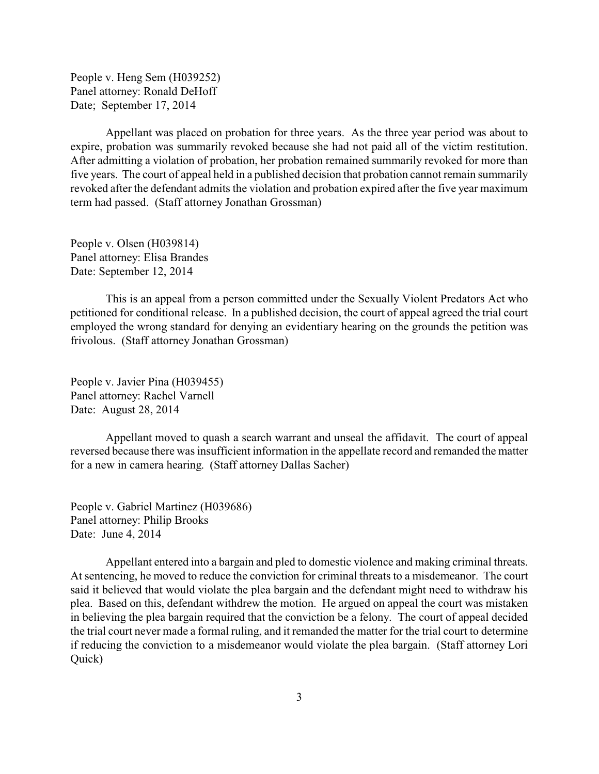People v. Heng Sem (H039252) Panel attorney: Ronald DeHoff Date; September 17, 2014

Appellant was placed on probation for three years. As the three year period was about to expire, probation was summarily revoked because she had not paid all of the victim restitution. After admitting a violation of probation, her probation remained summarily revoked for more than five years. The court of appeal held in a published decision that probation cannot remain summarily revoked after the defendant admits the violation and probation expired after the five year maximum term had passed. (Staff attorney Jonathan Grossman)

People v. Olsen (H039814) Panel attorney: Elisa Brandes Date: September 12, 2014

This is an appeal from a person committed under the Sexually Violent Predators Act who petitioned for conditional release. In a published decision, the court of appeal agreed the trial court employed the wrong standard for denying an evidentiary hearing on the grounds the petition was frivolous. (Staff attorney Jonathan Grossman)

People v. Javier Pina (H039455) Panel attorney: Rachel Varnell Date: August 28, 2014

Appellant moved to quash a search warrant and unseal the affidavit. The court of appeal reversed because there was insufficient information in the appellate record and remanded the matter for a new in camera hearing. (Staff attorney Dallas Sacher)

People v. Gabriel Martinez (H039686) Panel attorney: Philip Brooks Date: June 4, 2014

Appellant entered into a bargain and pled to domestic violence and making criminal threats. At sentencing, he moved to reduce the conviction for criminal threats to a misdemeanor. The court said it believed that would violate the plea bargain and the defendant might need to withdraw his plea. Based on this, defendant withdrew the motion. He argued on appeal the court was mistaken in believing the plea bargain required that the conviction be a felony. The court of appeal decided the trial court never made a formal ruling, and it remanded the matter for the trial court to determine if reducing the conviction to a misdemeanor would violate the plea bargain. (Staff attorney Lori Quick)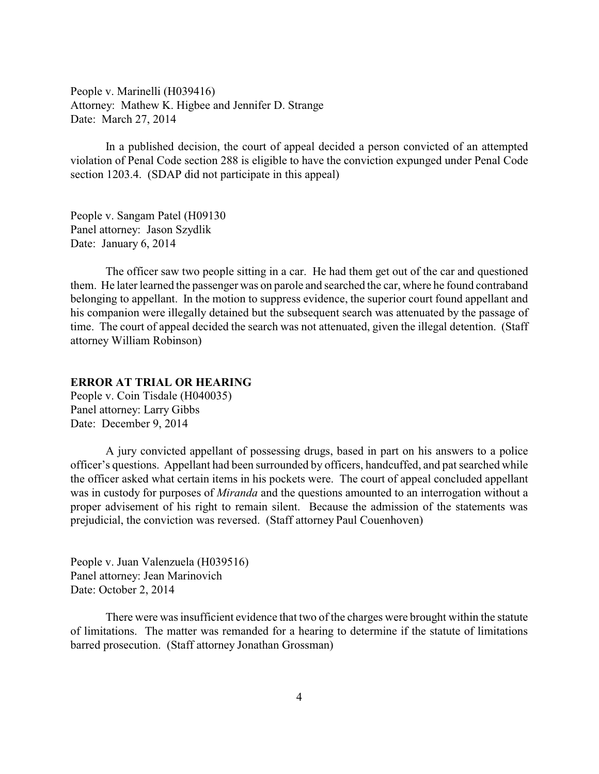<span id="page-3-0"></span>People v. Marinelli (H039416) Attorney: Mathew K. Higbee and Jennifer D. Strange Date: March 27, 2014

In a published decision, the court of appeal decided a person convicted of an attempted violation of Penal Code section 288 is eligible to have the conviction expunged under Penal Code section 1203.4. (SDAP did not participate in this appeal)

People v. Sangam Patel (H09130 Panel attorney: Jason Szydlik Date: January 6, 2014

The officer saw two people sitting in a car. He had them get out of the car and questioned them. He later learned the passenger was on parole and searched the car, where he found contraband belonging to appellant. In the motion to suppress evidence, the superior court found appellant and his companion were illegally detained but the subsequent search was attenuated by the passage of time. The court of appeal decided the search was not attenuated, given the illegal detention. (Staff attorney William Robinson)

## **ERROR AT TRIAL OR HEARING**

People v. Coin Tisdale (H040035) Panel attorney: Larry Gibbs Date: December 9, 2014

A jury convicted appellant of possessing drugs, based in part on his answers to a police officer's questions. Appellant had been surrounded by officers, handcuffed, and pat searched while the officer asked what certain items in his pockets were. The court of appeal concluded appellant was in custody for purposes of *Miranda* and the questions amounted to an interrogation without a proper advisement of his right to remain silent. Because the admission of the statements was prejudicial, the conviction was reversed. (Staff attorney Paul Couenhoven)

People v. Juan Valenzuela (H039516) Panel attorney: Jean Marinovich Date: October 2, 2014

There were was insufficient evidence that two of the charges were brought within the statute of limitations. The matter was remanded for a hearing to determine if the statute of limitations barred prosecution. (Staff attorney Jonathan Grossman)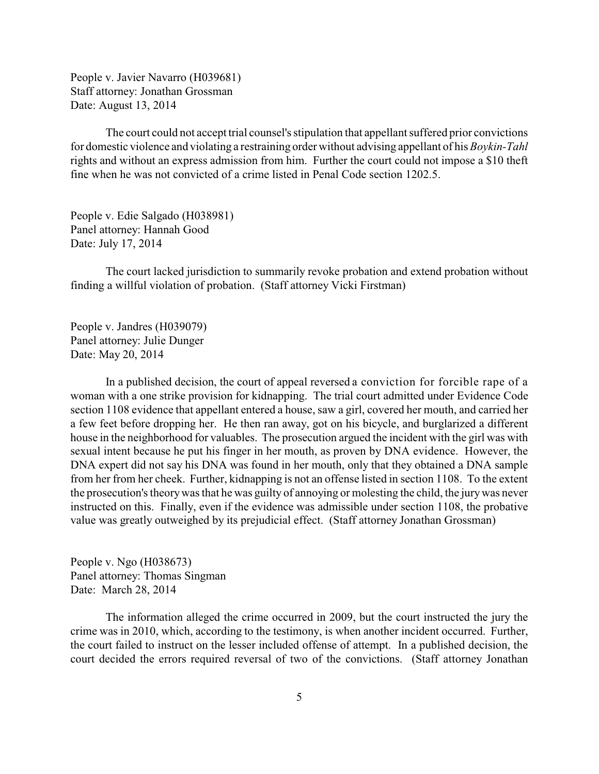People v. Javier Navarro (H039681) Staff attorney: Jonathan Grossman Date: August 13, 2014

The court could not accept trial counsel's stipulation that appellant suffered prior convictions for domestic violence and violating a restraining order without advising appellant of his *Boykin-Tahl* rights and without an express admission from him. Further the court could not impose a \$10 theft fine when he was not convicted of a crime listed in Penal Code section 1202.5.

People v. Edie Salgado (H038981) Panel attorney: Hannah Good Date: July 17, 2014

The court lacked jurisdiction to summarily revoke probation and extend probation without finding a willful violation of probation. (Staff attorney Vicki Firstman)

People v. Jandres (H039079) Panel attorney: Julie Dunger Date: May 20, 2014

In a published decision, the court of appeal reversed a conviction for forcible rape of a woman with a one strike provision for kidnapping. The trial court admitted under Evidence Code section 1108 evidence that appellant entered a house, saw a girl, covered her mouth, and carried her a few feet before dropping her. He then ran away, got on his bicycle, and burglarized a different house in the neighborhood for valuables. The prosecution argued the incident with the girl was with sexual intent because he put his finger in her mouth, as proven by DNA evidence. However, the DNA expert did not say his DNA was found in her mouth, only that they obtained a DNA sample from her from her cheek. Further, kidnapping is not an offense listed in section 1108. To the extent the prosecution's theorywas that he was guilty of annoying or molesting the child, the jurywas never instructed on this. Finally, even if the evidence was admissible under section 1108, the probative value was greatly outweighed by its prejudicial effect. (Staff attorney Jonathan Grossman)

People v. Ngo (H038673) Panel attorney: Thomas Singman Date: March 28, 2014

The information alleged the crime occurred in 2009, but the court instructed the jury the crime was in 2010, which, according to the testimony, is when another incident occurred. Further, the court failed to instruct on the lesser included offense of attempt. In a published decision, the court decided the errors required reversal of two of the convictions. (Staff attorney Jonathan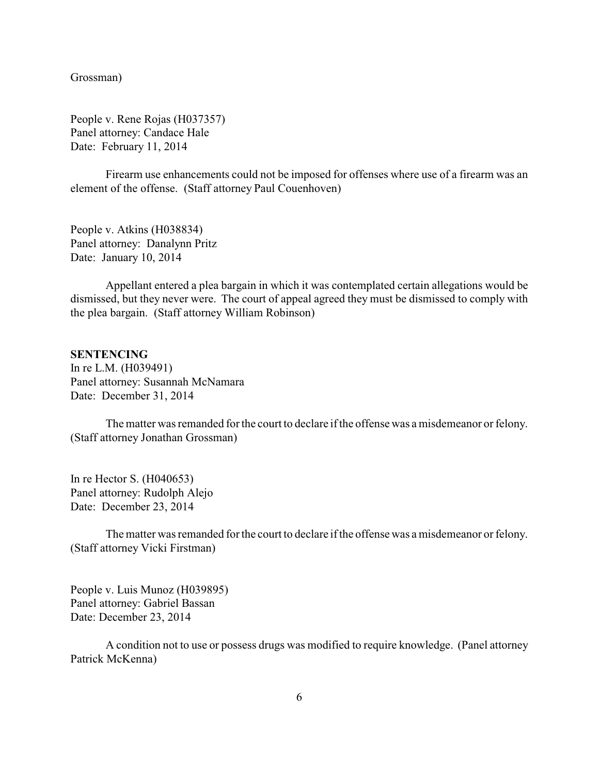<span id="page-5-0"></span>Grossman)

People v. Rene Rojas (H037357) Panel attorney: Candace Hale Date: February 11, 2014

Firearm use enhancements could not be imposed for offenses where use of a firearm was an element of the offense. (Staff attorney Paul Couenhoven)

People v. Atkins (H038834) Panel attorney: Danalynn Pritz Date: January 10, 2014

Appellant entered a plea bargain in which it was contemplated certain allegations would be dismissed, but they never were. The court of appeal agreed they must be dismissed to comply with the plea bargain. (Staff attorney William Robinson)

#### **SENTENCING**

In re L.M. (H039491) Panel attorney: Susannah McNamara Date: December 31, 2014

The matter was remanded for the court to declare if the offense was a misdemeanor or felony. (Staff attorney Jonathan Grossman)

In re Hector S. (H040653) Panel attorney: Rudolph Alejo Date: December 23, 2014

The matter was remanded for the court to declare if the offense was a misdemeanor or felony. (Staff attorney Vicki Firstman)

People v. Luis Munoz (H039895) Panel attorney: Gabriel Bassan Date: December 23, 2014

A condition not to use or possess drugs was modified to require knowledge. (Panel attorney Patrick McKenna)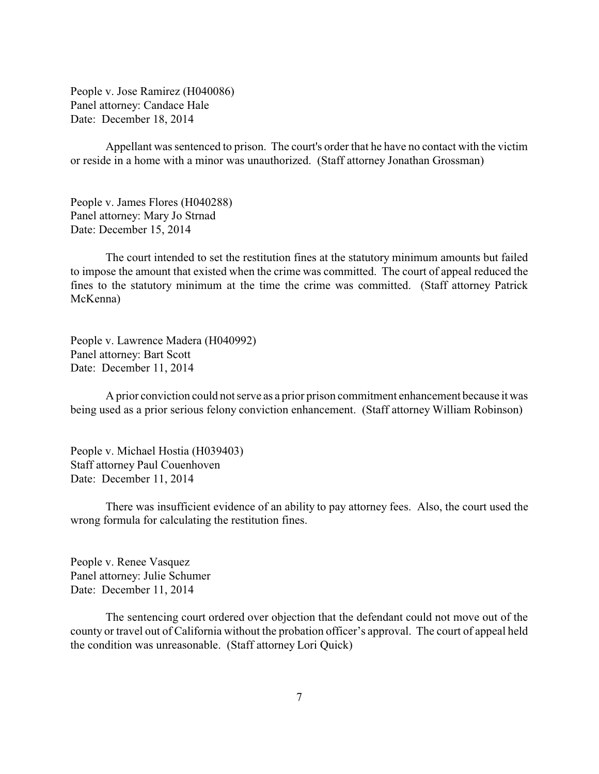People v. Jose Ramirez (H040086) Panel attorney: Candace Hale Date: December 18, 2014

Appellant was sentenced to prison. The court's order that he have no contact with the victim or reside in a home with a minor was unauthorized. (Staff attorney Jonathan Grossman)

People v. James Flores (H040288) Panel attorney: Mary Jo Strnad Date: December 15, 2014

The court intended to set the restitution fines at the statutory minimum amounts but failed to impose the amount that existed when the crime was committed. The court of appeal reduced the fines to the statutory minimum at the time the crime was committed. (Staff attorney Patrick McKenna)

People v. Lawrence Madera (H040992) Panel attorney: Bart Scott Date: December 11, 2014

A prior conviction could not serve as a prior prison commitment enhancement because it was being used as a prior serious felony conviction enhancement. (Staff attorney William Robinson)

People v. Michael Hostia (H039403) Staff attorney Paul Couenhoven Date: December 11, 2014

There was insufficient evidence of an ability to pay attorney fees. Also, the court used the wrong formula for calculating the restitution fines.

People v. Renee Vasquez Panel attorney: Julie Schumer Date: December 11, 2014

The sentencing court ordered over objection that the defendant could not move out of the county or travel out of California without the probation officer's approval. The court of appeal held the condition was unreasonable. (Staff attorney Lori Quick)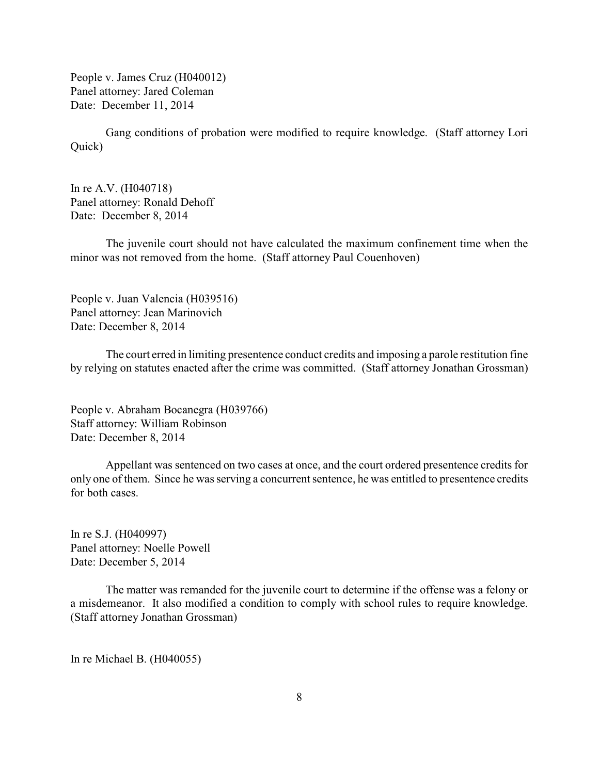People v. James Cruz (H040012) Panel attorney: Jared Coleman Date: December 11, 2014

Gang conditions of probation were modified to require knowledge. (Staff attorney Lori Quick)

In re A.V. (H040718) Panel attorney: Ronald Dehoff Date: December 8, 2014

The juvenile court should not have calculated the maximum confinement time when the minor was not removed from the home. (Staff attorney Paul Couenhoven)

People v. Juan Valencia (H039516) Panel attorney: Jean Marinovich Date: December 8, 2014

The court erred in limiting presentence conduct credits and imposing a parole restitution fine by relying on statutes enacted after the crime was committed. (Staff attorney Jonathan Grossman)

People v. Abraham Bocanegra (H039766) Staff attorney: William Robinson Date: December 8, 2014

Appellant was sentenced on two cases at once, and the court ordered presentence credits for only one of them. Since he was serving a concurrent sentence, he was entitled to presentence credits for both cases.

In re S.J. (H040997) Panel attorney: Noelle Powell Date: December 5, 2014

The matter was remanded for the juvenile court to determine if the offense was a felony or a misdemeanor. It also modified a condition to comply with school rules to require knowledge. (Staff attorney Jonathan Grossman)

In re Michael B. (H040055)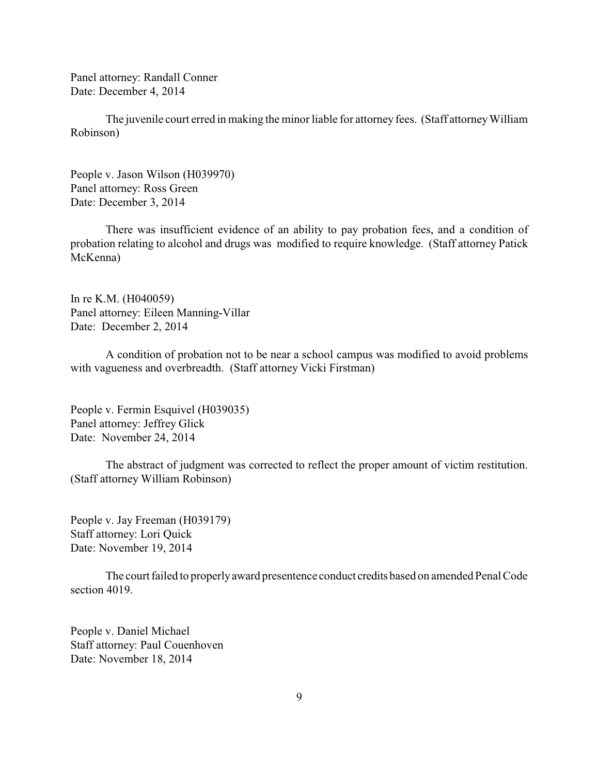Panel attorney: Randall Conner Date: December 4, 2014

The juvenile court erred in making the minor liable for attorney fees. (Staff attorney William Robinson)

People v. Jason Wilson (H039970) Panel attorney: Ross Green Date: December 3, 2014

There was insufficient evidence of an ability to pay probation fees, and a condition of probation relating to alcohol and drugs was modified to require knowledge. (Staff attorney Patick McKenna)

In re K.M. (H040059) Panel attorney: Eileen Manning-Villar Date: December 2, 2014

A condition of probation not to be near a school campus was modified to avoid problems with vagueness and overbreadth. (Staff attorney Vicki Firstman)

People v. Fermin Esquivel (H039035) Panel attorney: Jeffrey Glick Date: November 24, 2014

The abstract of judgment was corrected to reflect the proper amount of victim restitution. (Staff attorney William Robinson)

People v. Jay Freeman (H039179) Staff attorney: Lori Quick Date: November 19, 2014

The court failed to properlyaward presentence conduct credits based on amended Penal Code section 4019.

People v. Daniel Michael Staff attorney: Paul Couenhoven Date: November 18, 2014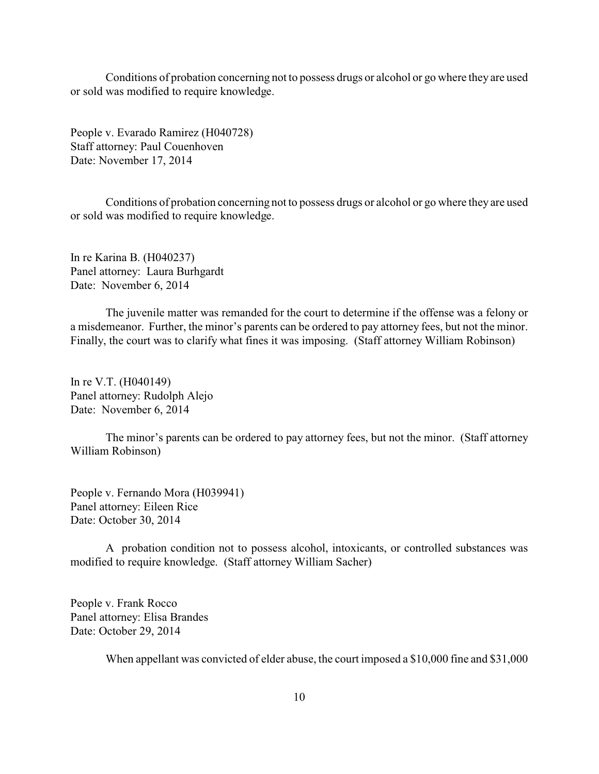Conditions of probation concerning not to possess drugs or alcohol or go where they are used or sold was modified to require knowledge.

People v. Evarado Ramirez (H040728) Staff attorney: Paul Couenhoven Date: November 17, 2014

Conditions of probation concerning not to possess drugs or alcohol or go where they are used or sold was modified to require knowledge.

In re Karina B. (H040237) Panel attorney: Laura Burhgardt Date: November 6, 2014

The juvenile matter was remanded for the court to determine if the offense was a felony or a misdemeanor. Further, the minor's parents can be ordered to pay attorney fees, but not the minor. Finally, the court was to clarify what fines it was imposing. (Staff attorney William Robinson)

In re V.T. (H040149) Panel attorney: Rudolph Alejo Date: November 6, 2014

The minor's parents can be ordered to pay attorney fees, but not the minor. (Staff attorney William Robinson)

People v. Fernando Mora (H039941) Panel attorney: Eileen Rice Date: October 30, 2014

A probation condition not to possess alcohol, intoxicants, or controlled substances was modified to require knowledge. (Staff attorney William Sacher)

People v. Frank Rocco Panel attorney: Elisa Brandes Date: October 29, 2014

When appellant was convicted of elder abuse, the court imposed a \$10,000 fine and \$31,000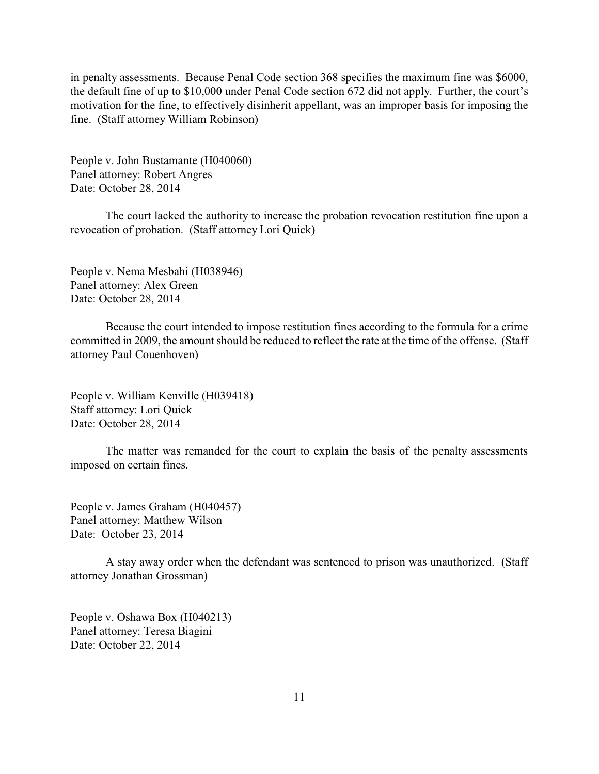in penalty assessments. Because Penal Code section 368 specifies the maximum fine was \$6000, the default fine of up to \$10,000 under Penal Code section 672 did not apply. Further, the court's motivation for the fine, to effectively disinherit appellant, was an improper basis for imposing the fine. (Staff attorney William Robinson)

People v. John Bustamante (H040060) Panel attorney: Robert Angres Date: October 28, 2014

The court lacked the authority to increase the probation revocation restitution fine upon a revocation of probation. (Staff attorney Lori Quick)

People v. Nema Mesbahi (H038946) Panel attorney: Alex Green Date: October 28, 2014

Because the court intended to impose restitution fines according to the formula for a crime committed in 2009, the amount should be reduced to reflect the rate at the time of the offense. (Staff attorney Paul Couenhoven)

People v. William Kenville (H039418) Staff attorney: Lori Quick Date: October 28, 2014

The matter was remanded for the court to explain the basis of the penalty assessments imposed on certain fines.

People v. James Graham (H040457) Panel attorney: Matthew Wilson Date: October 23, 2014

A stay away order when the defendant was sentenced to prison was unauthorized. (Staff attorney Jonathan Grossman)

People v. Oshawa Box (H040213) Panel attorney: Teresa Biagini Date: October 22, 2014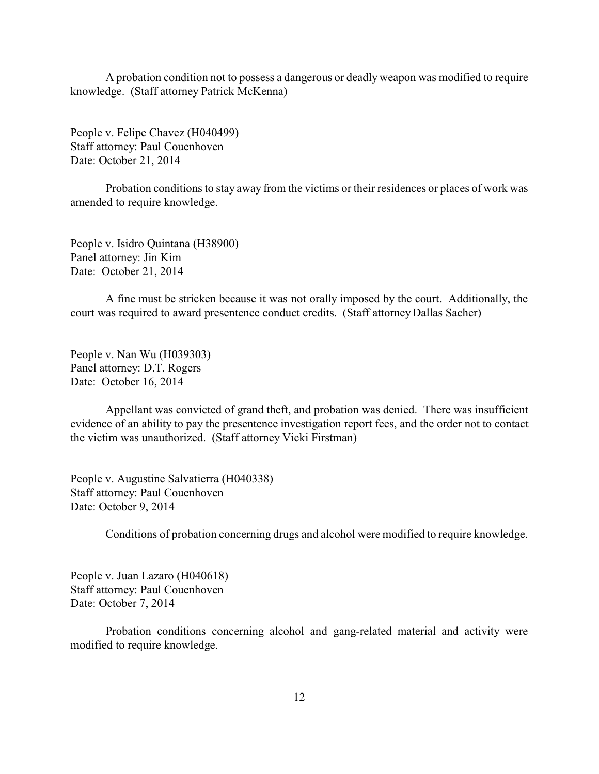A probation condition not to possess a dangerous or deadly weapon was modified to require knowledge. (Staff attorney Patrick McKenna)

People v. Felipe Chavez (H040499) Staff attorney: Paul Couenhoven Date: October 21, 2014

Probation conditions to stay away from the victims or their residences or places of work was amended to require knowledge.

People v. Isidro Quintana (H38900) Panel attorney: Jin Kim Date: October 21, 2014

A fine must be stricken because it was not orally imposed by the court. Additionally, the court was required to award presentence conduct credits. (Staff attorney Dallas Sacher)

People v. Nan Wu (H039303) Panel attorney: D.T. Rogers Date: October 16, 2014

Appellant was convicted of grand theft, and probation was denied. There was insufficient evidence of an ability to pay the presentence investigation report fees, and the order not to contact the victim was unauthorized. (Staff attorney Vicki Firstman)

People v. Augustine Salvatierra (H040338) Staff attorney: Paul Couenhoven Date: October 9, 2014

Conditions of probation concerning drugs and alcohol were modified to require knowledge.

People v. Juan Lazaro (H040618) Staff attorney: Paul Couenhoven Date: October 7, 2014

Probation conditions concerning alcohol and gang-related material and activity were modified to require knowledge.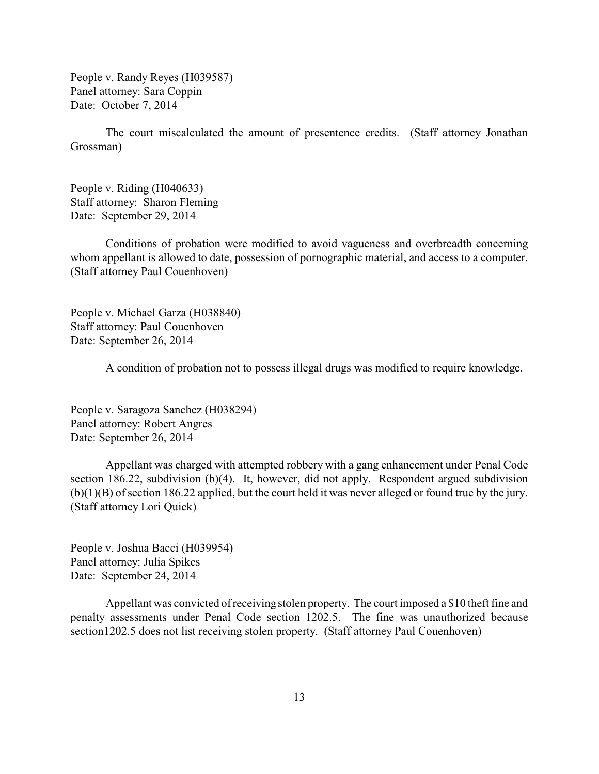People v. Randy Reyes (H039587) Panel attorney: Sara Coppin Date: October 7, 2014

The court miscalculated the amount of presentence credits. (Staff attorney Jonathan Grossman)

People v. Riding (H040633) Staff attorney: Sharon Fleming Date: September 29, 2014

Conditions of probation were modified to avoid vagueness and overbreadth concerning whom appellant is allowed to date, possession of pornographic material, and access to a computer. (Staff attorney Paul Couenhoven)

People v. Michael Garza (H038840) Staff attorney: Paul Couenhoven Date: September 26, 2014

A condition of probation not to possess illegal drugs was modified to require knowledge.

People v. Saragoza Sanchez (H038294) Panel attorney: Robert Angres Date: September 26, 2014

Appellant was charged with attempted robbery with a gang enhancement under Penal Code section 186.22, subdivision (b)(4). It, however, did not apply. Respondent argued subdivision (b)(1)(B) of section 186.22 applied, but the court held it was never alleged or found true by the jury. (Staff attorney Lori Quick)

People v. Joshua Bacci (H039954) Panel attorney: Julia Spikes Date: September 24, 2014

Appellant was convicted of receiving stolen property. The court imposed a \$10 theft fine and penalty assessments under Penal Code section 1202.5. The fine was unauthorized because section1202.5 does not list receiving stolen property. (Staff attorney Paul Couenhoven)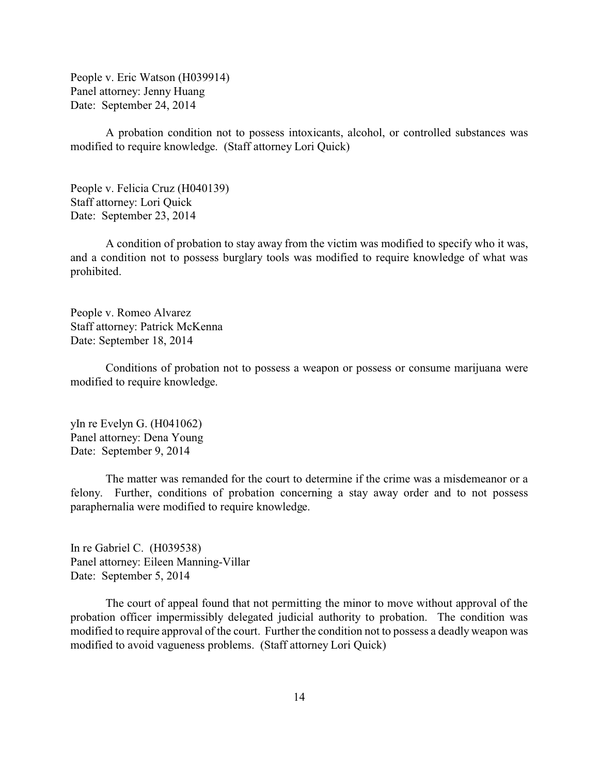People v. Eric Watson (H039914) Panel attorney: Jenny Huang Date: September 24, 2014

A probation condition not to possess intoxicants, alcohol, or controlled substances was modified to require knowledge. (Staff attorney Lori Quick)

People v. Felicia Cruz (H040139) Staff attorney: Lori Quick Date: September 23, 2014

A condition of probation to stay away from the victim was modified to specify who it was, and a condition not to possess burglary tools was modified to require knowledge of what was prohibited.

People v. Romeo Alvarez Staff attorney: Patrick McKenna Date: September 18, 2014

Conditions of probation not to possess a weapon or possess or consume marijuana were modified to require knowledge.

yIn re Evelyn G. (H041062) Panel attorney: Dena Young Date: September 9, 2014

The matter was remanded for the court to determine if the crime was a misdemeanor or a felony. Further, conditions of probation concerning a stay away order and to not possess paraphernalia were modified to require knowledge.

In re Gabriel C. (H039538) Panel attorney: Eileen Manning-Villar Date: September 5, 2014

The court of appeal found that not permitting the minor to move without approval of the probation officer impermissibly delegated judicial authority to probation. The condition was modified to require approval of the court. Further the condition not to possess a deadly weapon was modified to avoid vagueness problems. (Staff attorney Lori Quick)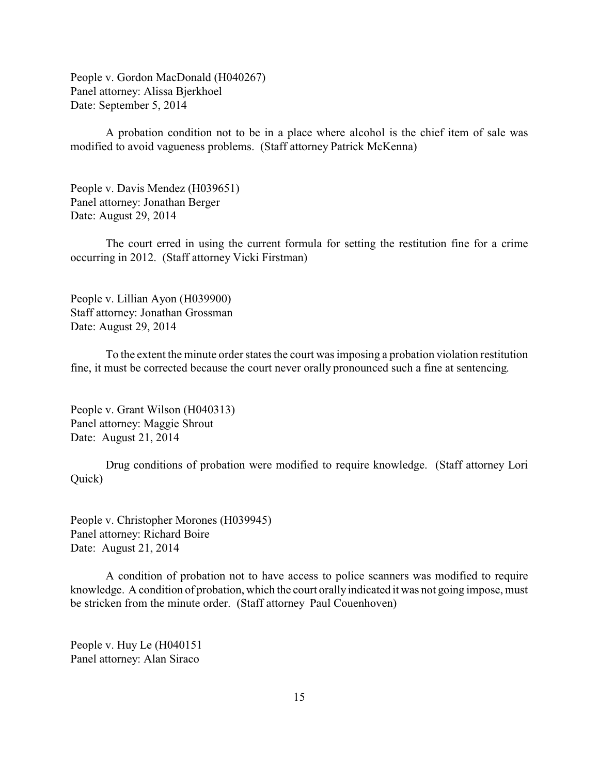People v. Gordon MacDonald (H040267) Panel attorney: Alissa Bjerkhoel Date: September 5, 2014

A probation condition not to be in a place where alcohol is the chief item of sale was modified to avoid vagueness problems. (Staff attorney Patrick McKenna)

People v. Davis Mendez (H039651) Panel attorney: Jonathan Berger Date: August 29, 2014

The court erred in using the current formula for setting the restitution fine for a crime occurring in 2012. (Staff attorney Vicki Firstman)

People v. Lillian Ayon (H039900) Staff attorney: Jonathan Grossman Date: August 29, 2014

To the extent the minute order states the court was imposing a probation violation restitution fine, it must be corrected because the court never orally pronounced such a fine at sentencing.

People v. Grant Wilson (H040313) Panel attorney: Maggie Shrout Date: August 21, 2014

Drug conditions of probation were modified to require knowledge. (Staff attorney Lori Quick)

People v. Christopher Morones (H039945) Panel attorney: Richard Boire Date: August 21, 2014

A condition of probation not to have access to police scanners was modified to require knowledge. A condition of probation, which the court orally indicated it was not going impose, must be stricken from the minute order. (Staff attorney Paul Couenhoven)

People v. Huy Le (H040151 Panel attorney: Alan Siraco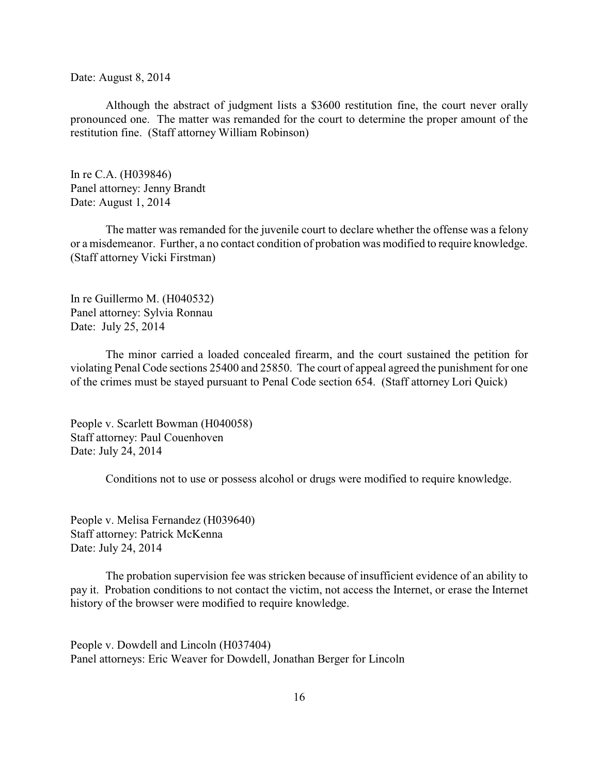Date: August 8, 2014

Although the abstract of judgment lists a \$3600 restitution fine, the court never orally pronounced one. The matter was remanded for the court to determine the proper amount of the restitution fine. (Staff attorney William Robinson)

In re C.A. (H039846) Panel attorney: Jenny Brandt Date: August 1, 2014

The matter was remanded for the juvenile court to declare whether the offense was a felony or a misdemeanor. Further, a no contact condition of probation was modified to require knowledge. (Staff attorney Vicki Firstman)

In re Guillermo M. (H040532) Panel attorney: Sylvia Ronnau Date: July 25, 2014

The minor carried a loaded concealed firearm, and the court sustained the petition for violating Penal Code sections 25400 and 25850. The court of appeal agreed the punishment for one of the crimes must be stayed pursuant to Penal Code section 654. (Staff attorney Lori Quick)

People v. Scarlett Bowman (H040058) Staff attorney: Paul Couenhoven Date: July 24, 2014

Conditions not to use or possess alcohol or drugs were modified to require knowledge.

People v. Melisa Fernandez (H039640) Staff attorney: Patrick McKenna Date: July 24, 2014

The probation supervision fee was stricken because of insufficient evidence of an ability to pay it. Probation conditions to not contact the victim, not access the Internet, or erase the Internet history of the browser were modified to require knowledge.

People v. Dowdell and Lincoln (H037404) Panel attorneys: Eric Weaver for Dowdell, Jonathan Berger for Lincoln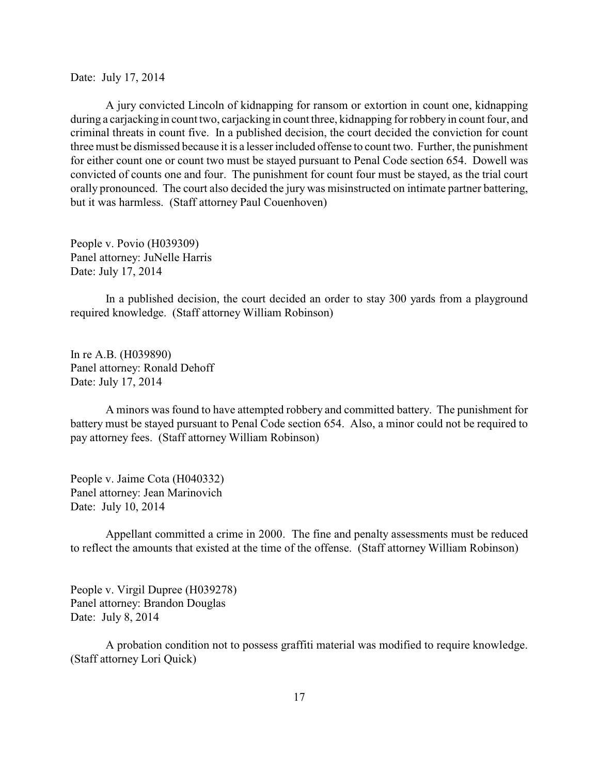Date: July 17, 2014

A jury convicted Lincoln of kidnapping for ransom or extortion in count one, kidnapping during a carjacking in count two, carjacking in count three, kidnapping for robbery in count four, and criminal threats in count five. In a published decision, the court decided the conviction for count three must be dismissed because it is a lesser included offense to count two. Further, the punishment for either count one or count two must be stayed pursuant to Penal Code section 654. Dowell was convicted of counts one and four. The punishment for count four must be stayed, as the trial court orally pronounced. The court also decided the jury was misinstructed on intimate partner battering, but it was harmless. (Staff attorney Paul Couenhoven)

People v. Povio (H039309) Panel attorney: JuNelle Harris Date: July 17, 2014

In a published decision, the court decided an order to stay 300 yards from a playground required knowledge. (Staff attorney William Robinson)

In re A.B. (H039890) Panel attorney: Ronald Dehoff Date: July 17, 2014

A minors was found to have attempted robbery and committed battery. The punishment for battery must be stayed pursuant to Penal Code section 654. Also, a minor could not be required to pay attorney fees. (Staff attorney William Robinson)

People v. Jaime Cota (H040332) Panel attorney: Jean Marinovich Date: July 10, 2014

Appellant committed a crime in 2000. The fine and penalty assessments must be reduced to reflect the amounts that existed at the time of the offense. (Staff attorney William Robinson)

People v. Virgil Dupree (H039278) Panel attorney: Brandon Douglas Date: July 8, 2014

A probation condition not to possess graffiti material was modified to require knowledge. (Staff attorney Lori Quick)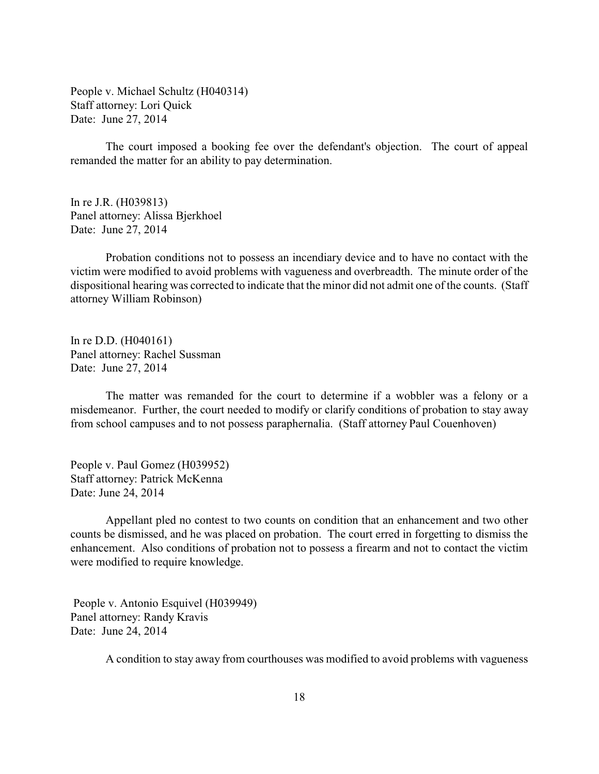People v. Michael Schultz (H040314) Staff attorney: Lori Quick Date: June 27, 2014

The court imposed a booking fee over the defendant's objection. The court of appeal remanded the matter for an ability to pay determination.

In re J.R. (H039813) Panel attorney: Alissa Bjerkhoel Date: June 27, 2014

Probation conditions not to possess an incendiary device and to have no contact with the victim were modified to avoid problems with vagueness and overbreadth. The minute order of the dispositional hearing was corrected to indicate that the minor did not admit one of the counts. (Staff attorney William Robinson)

In re D.D. (H040161) Panel attorney: Rachel Sussman Date: June 27, 2014

The matter was remanded for the court to determine if a wobbler was a felony or a misdemeanor. Further, the court needed to modify or clarify conditions of probation to stay away from school campuses and to not possess paraphernalia. (Staff attorney Paul Couenhoven)

People v. Paul Gomez (H039952) Staff attorney: Patrick McKenna Date: June 24, 2014

Appellant pled no contest to two counts on condition that an enhancement and two other counts be dismissed, and he was placed on probation. The court erred in forgetting to dismiss the enhancement. Also conditions of probation not to possess a firearm and not to contact the victim were modified to require knowledge.

 People v. Antonio Esquivel (H039949) Panel attorney: Randy Kravis Date: June 24, 2014

A condition to stay away from courthouses was modified to avoid problems with vagueness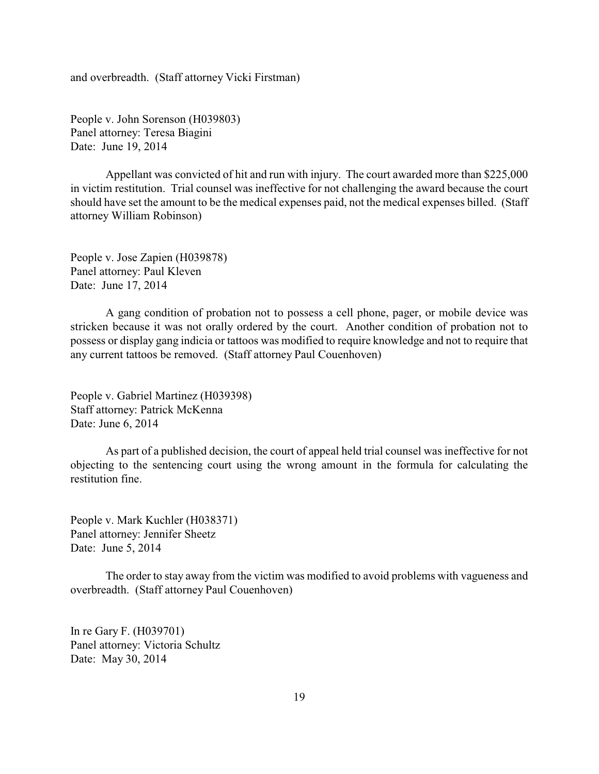and overbreadth. (Staff attorney Vicki Firstman)

People v. John Sorenson (H039803) Panel attorney: Teresa Biagini Date: June 19, 2014

Appellant was convicted of hit and run with injury. The court awarded more than \$225,000 in victim restitution. Trial counsel was ineffective for not challenging the award because the court should have set the amount to be the medical expenses paid, not the medical expenses billed. (Staff attorney William Robinson)

People v. Jose Zapien (H039878) Panel attorney: Paul Kleven Date: June 17, 2014

A gang condition of probation not to possess a cell phone, pager, or mobile device was stricken because it was not orally ordered by the court. Another condition of probation not to possess or display gang indicia or tattoos was modified to require knowledge and not to require that any current tattoos be removed. (Staff attorney Paul Couenhoven)

People v. Gabriel Martinez (H039398) Staff attorney: Patrick McKenna Date: June 6, 2014

As part of a published decision, the court of appeal held trial counsel was ineffective for not objecting to the sentencing court using the wrong amount in the formula for calculating the restitution fine.

People v. Mark Kuchler (H038371) Panel attorney: Jennifer Sheetz Date: June 5, 2014

The order to stay away from the victim was modified to avoid problems with vagueness and overbreadth. (Staff attorney Paul Couenhoven)

In re Gary F. (H039701) Panel attorney: Victoria Schultz Date: May 30, 2014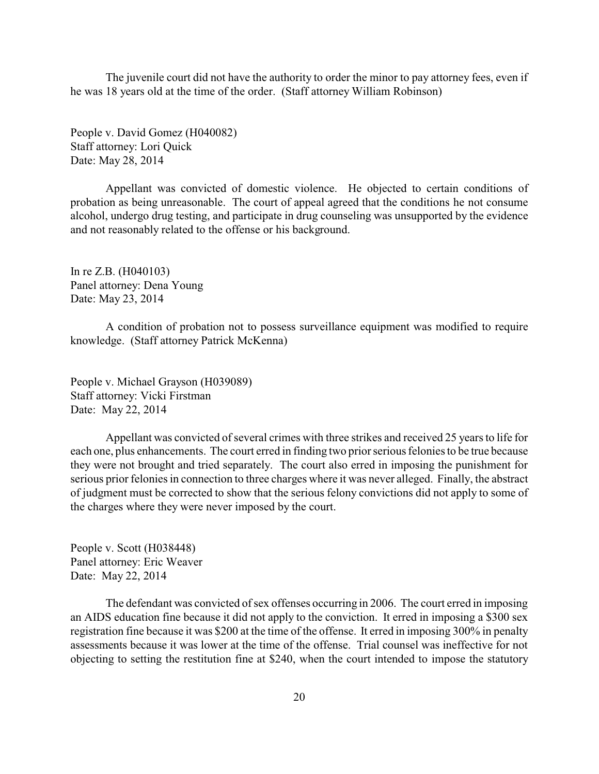The juvenile court did not have the authority to order the minor to pay attorney fees, even if he was 18 years old at the time of the order. (Staff attorney William Robinson)

People v. David Gomez (H040082) Staff attorney: Lori Quick Date: May 28, 2014

Appellant was convicted of domestic violence. He objected to certain conditions of probation as being unreasonable. The court of appeal agreed that the conditions he not consume alcohol, undergo drug testing, and participate in drug counseling was unsupported by the evidence and not reasonably related to the offense or his background.

In re Z.B. (H040103) Panel attorney: Dena Young Date: May 23, 2014

A condition of probation not to possess surveillance equipment was modified to require knowledge. (Staff attorney Patrick McKenna)

People v. Michael Grayson (H039089) Staff attorney: Vicki Firstman Date: May 22, 2014

Appellant was convicted of several crimes with three strikes and received 25 years to life for each one, plus enhancements. The court erred in finding two prior serious felonies to be true because they were not brought and tried separately. The court also erred in imposing the punishment for serious prior felonies in connection to three charges where it was never alleged. Finally, the abstract of judgment must be corrected to show that the serious felony convictions did not apply to some of the charges where they were never imposed by the court.

People v. Scott (H038448) Panel attorney: Eric Weaver Date: May 22, 2014

The defendant was convicted of sex offenses occurring in 2006. The court erred in imposing an AIDS education fine because it did not apply to the conviction. It erred in imposing a \$300 sex registration fine because it was \$200 at the time of the offense. It erred in imposing 300% in penalty assessments because it was lower at the time of the offense. Trial counsel was ineffective for not objecting to setting the restitution fine at \$240, when the court intended to impose the statutory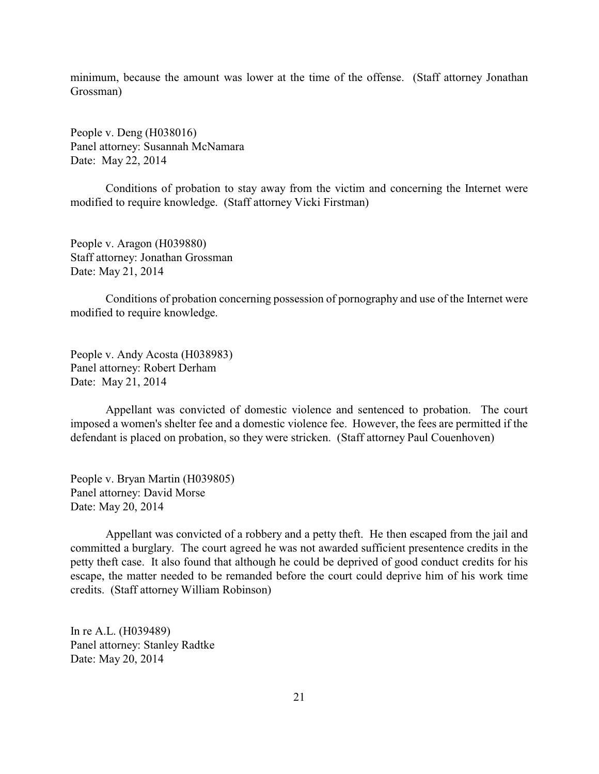minimum, because the amount was lower at the time of the offense. (Staff attorney Jonathan Grossman)

People v. Deng (H038016) Panel attorney: Susannah McNamara Date: May 22, 2014

Conditions of probation to stay away from the victim and concerning the Internet were modified to require knowledge. (Staff attorney Vicki Firstman)

People v. Aragon (H039880) Staff attorney: Jonathan Grossman Date: May 21, 2014

Conditions of probation concerning possession of pornography and use of the Internet were modified to require knowledge.

People v. Andy Acosta (H038983) Panel attorney: Robert Derham Date: May 21, 2014

Appellant was convicted of domestic violence and sentenced to probation. The court imposed a women's shelter fee and a domestic violence fee. However, the fees are permitted if the defendant is placed on probation, so they were stricken. (Staff attorney Paul Couenhoven)

People v. Bryan Martin (H039805) Panel attorney: David Morse Date: May 20, 2014

Appellant was convicted of a robbery and a petty theft. He then escaped from the jail and committed a burglary. The court agreed he was not awarded sufficient presentence credits in the petty theft case. It also found that although he could be deprived of good conduct credits for his escape, the matter needed to be remanded before the court could deprive him of his work time credits. (Staff attorney William Robinson)

In re A.L. (H039489) Panel attorney: Stanley Radtke Date: May 20, 2014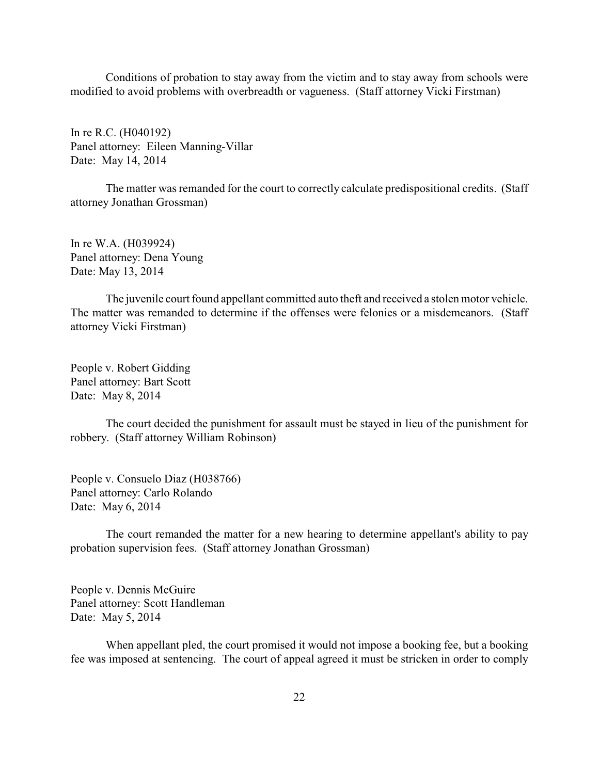Conditions of probation to stay away from the victim and to stay away from schools were modified to avoid problems with overbreadth or vagueness. (Staff attorney Vicki Firstman)

In re R.C. (H040192) Panel attorney: Eileen Manning-Villar Date: May 14, 2014

The matter was remanded for the court to correctly calculate predispositional credits. (Staff attorney Jonathan Grossman)

In re W.A. (H039924) Panel attorney: Dena Young Date: May 13, 2014

The juvenile court found appellant committed auto theft and received a stolen motor vehicle. The matter was remanded to determine if the offenses were felonies or a misdemeanors. (Staff attorney Vicki Firstman)

People v. Robert Gidding Panel attorney: Bart Scott Date: May 8, 2014

The court decided the punishment for assault must be stayed in lieu of the punishment for robbery. (Staff attorney William Robinson)

People v. Consuelo Diaz (H038766) Panel attorney: Carlo Rolando Date: May 6, 2014

The court remanded the matter for a new hearing to determine appellant's ability to pay probation supervision fees. (Staff attorney Jonathan Grossman)

People v. Dennis McGuire Panel attorney: Scott Handleman Date: May 5, 2014

When appellant pled, the court promised it would not impose a booking fee, but a booking fee was imposed at sentencing. The court of appeal agreed it must be stricken in order to comply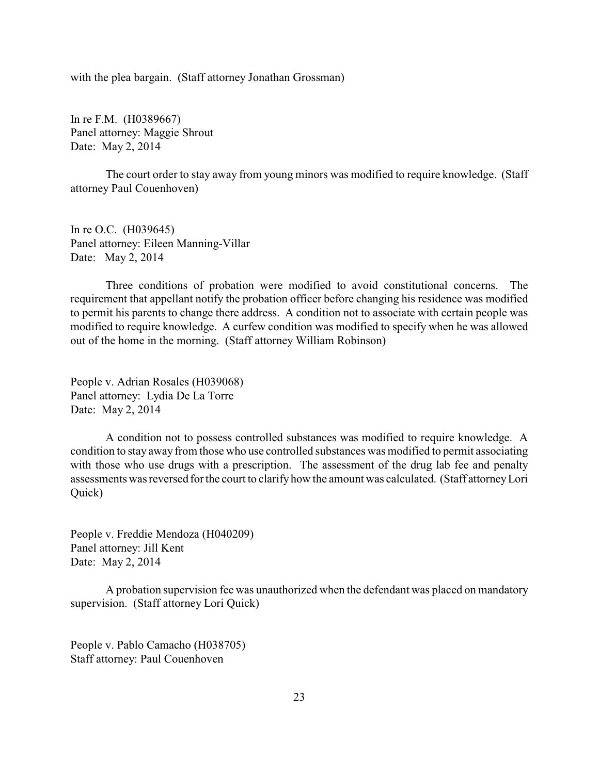with the plea bargain. (Staff attorney Jonathan Grossman)

In re F.M. (H0389667) Panel attorney: Maggie Shrout Date: May 2, 2014

The court order to stay away from young minors was modified to require knowledge. (Staff attorney Paul Couenhoven)

In re O.C. (H039645) Panel attorney: Eileen Manning-Villar Date: May 2, 2014

Three conditions of probation were modified to avoid constitutional concerns. The requirement that appellant notify the probation officer before changing his residence was modified to permit his parents to change there address. A condition not to associate with certain people was modified to require knowledge. A curfew condition was modified to specify when he was allowed out of the home in the morning. (Staff attorney William Robinson)

People v. Adrian Rosales (H039068) Panel attorney: Lydia De La Torre Date: May 2, 2014

A condition not to possess controlled substances was modified to require knowledge. A condition to stay away from those who use controlled substances was modified to permit associating with those who use drugs with a prescription. The assessment of the drug lab fee and penalty assessments was reversed for the court to clarifyhow the amount was calculated. (Staff attorneyLori Quick)

People v. Freddie Mendoza (H040209) Panel attorney: Jill Kent Date: May 2, 2014

A probation supervision fee was unauthorized when the defendant was placed on mandatory supervision. (Staff attorney Lori Quick)

People v. Pablo Camacho (H038705) Staff attorney: Paul Couenhoven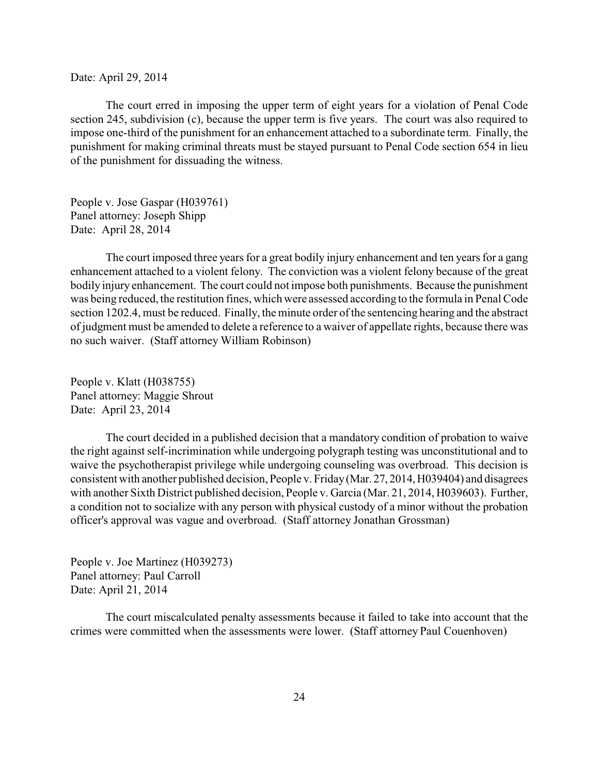Date: April 29, 2014

The court erred in imposing the upper term of eight years for a violation of Penal Code section 245, subdivision (c), because the upper term is five years. The court was also required to impose one-third of the punishment for an enhancement attached to a subordinate term. Finally, the punishment for making criminal threats must be stayed pursuant to Penal Code section 654 in lieu of the punishment for dissuading the witness.

People v. Jose Gaspar (H039761) Panel attorney: Joseph Shipp Date: April 28, 2014

The court imposed three years for a great bodily injury enhancement and ten years for a gang enhancement attached to a violent felony. The conviction was a violent felony because of the great bodily injury enhancement. The court could not impose both punishments. Because the punishment was being reduced, the restitution fines, which were assessed according to the formula in Penal Code section 1202.4, must be reduced. Finally, the minute order of the sentencing hearing and the abstract of judgment must be amended to delete a reference to a waiver of appellate rights, because there was no such waiver. (Staff attorney William Robinson)

People v. Klatt (H038755) Panel attorney: Maggie Shrout Date: April 23, 2014

The court decided in a published decision that a mandatory condition of probation to waive the right against self-incrimination while undergoing polygraph testing was unconstitutional and to waive the psychotherapist privilege while undergoing counseling was overbroad. This decision is consistent with another published decision, People v. Friday(Mar. 27, 2014,H039404) and disagrees with another Sixth District published decision, People v. Garcia (Mar. 21, 2014, H039603). Further, a condition not to socialize with any person with physical custody of a minor without the probation officer's approval was vague and overbroad. (Staff attorney Jonathan Grossman)

People v. Joe Martinez (H039273) Panel attorney: Paul Carroll Date: April 21, 2014

The court miscalculated penalty assessments because it failed to take into account that the crimes were committed when the assessments were lower. (Staff attorney Paul Couenhoven)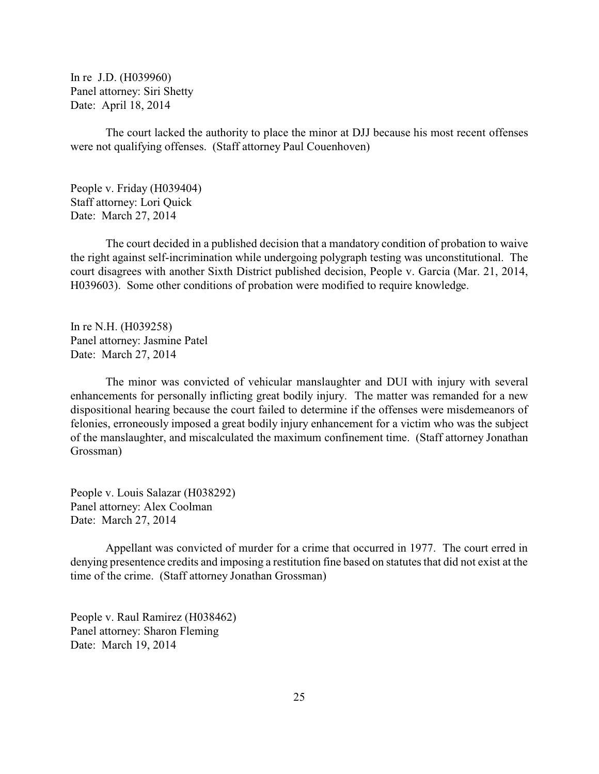In re J.D. (H039960) Panel attorney: Siri Shetty Date: April 18, 2014

The court lacked the authority to place the minor at DJJ because his most recent offenses were not qualifying offenses. (Staff attorney Paul Couenhoven)

People v. Friday (H039404) Staff attorney: Lori Quick Date: March 27, 2014

The court decided in a published decision that a mandatory condition of probation to waive the right against self-incrimination while undergoing polygraph testing was unconstitutional. The court disagrees with another Sixth District published decision, People v. Garcia (Mar. 21, 2014, H039603). Some other conditions of probation were modified to require knowledge.

In re N.H. (H039258) Panel attorney: Jasmine Patel Date: March 27, 2014

The minor was convicted of vehicular manslaughter and DUI with injury with several enhancements for personally inflicting great bodily injury. The matter was remanded for a new dispositional hearing because the court failed to determine if the offenses were misdemeanors of felonies, erroneously imposed a great bodily injury enhancement for a victim who was the subject of the manslaughter, and miscalculated the maximum confinement time. (Staff attorney Jonathan Grossman)

People v. Louis Salazar (H038292) Panel attorney: Alex Coolman Date: March 27, 2014

Appellant was convicted of murder for a crime that occurred in 1977. The court erred in denying presentence credits and imposing a restitution fine based on statutes that did not exist at the time of the crime. (Staff attorney Jonathan Grossman)

People v. Raul Ramirez (H038462) Panel attorney: Sharon Fleming Date: March 19, 2014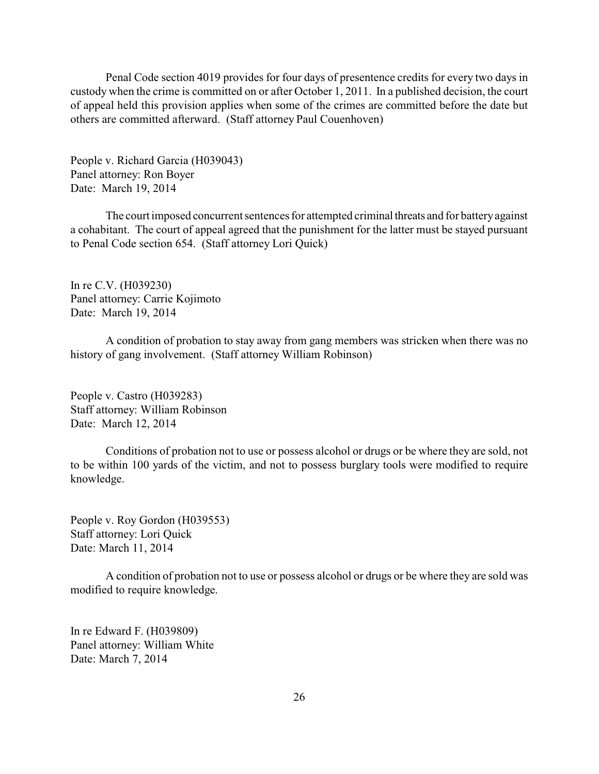Penal Code section 4019 provides for four days of presentence credits for every two days in custody when the crime is committed on or after October 1, 2011. In a published decision, the court of appeal held this provision applies when some of the crimes are committed before the date but others are committed afterward. (Staff attorney Paul Couenhoven)

People v. Richard Garcia (H039043) Panel attorney: Ron Boyer Date: March 19, 2014

The court imposed concurrent sentences for attempted criminal threats and for batteryagainst a cohabitant. The court of appeal agreed that the punishment for the latter must be stayed pursuant to Penal Code section 654. (Staff attorney Lori Quick)

In re C.V. (H039230) Panel attorney: Carrie Kojimoto Date: March 19, 2014

A condition of probation to stay away from gang members was stricken when there was no history of gang involvement. (Staff attorney William Robinson)

People v. Castro (H039283) Staff attorney: William Robinson Date: March 12, 2014

Conditions of probation not to use or possess alcohol or drugs or be where they are sold, not to be within 100 yards of the victim, and not to possess burglary tools were modified to require knowledge.

People v. Roy Gordon (H039553) Staff attorney: Lori Quick Date: March 11, 2014

A condition of probation not to use or possess alcohol or drugs or be where they are sold was modified to require knowledge.

In re Edward F. (H039809) Panel attorney: William White Date: March 7, 2014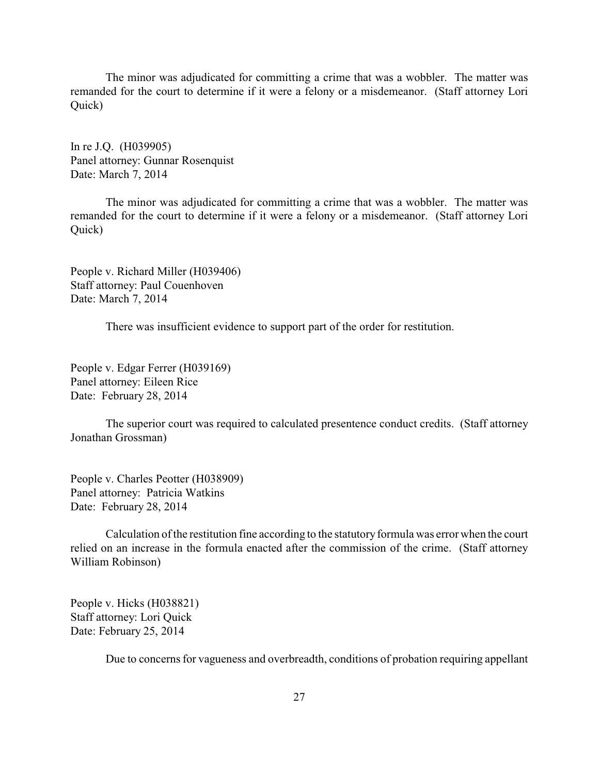The minor was adjudicated for committing a crime that was a wobbler. The matter was remanded for the court to determine if it were a felony or a misdemeanor. (Staff attorney Lori Quick)

In re J.Q. (H039905) Panel attorney: Gunnar Rosenquist Date: March 7, 2014

The minor was adjudicated for committing a crime that was a wobbler. The matter was remanded for the court to determine if it were a felony or a misdemeanor. (Staff attorney Lori Quick)

People v. Richard Miller (H039406) Staff attorney: Paul Couenhoven Date: March 7, 2014

There was insufficient evidence to support part of the order for restitution.

People v. Edgar Ferrer (H039169) Panel attorney: Eileen Rice Date: February 28, 2014

The superior court was required to calculated presentence conduct credits. (Staff attorney Jonathan Grossman)

People v. Charles Peotter (H038909) Panel attorney: Patricia Watkins Date: February 28, 2014

Calculation of the restitution fine according to the statutory formula was error when the court relied on an increase in the formula enacted after the commission of the crime. (Staff attorney William Robinson)

People v. Hicks (H038821) Staff attorney: Lori Quick Date: February 25, 2014

Due to concerns for vagueness and overbreadth, conditions of probation requiring appellant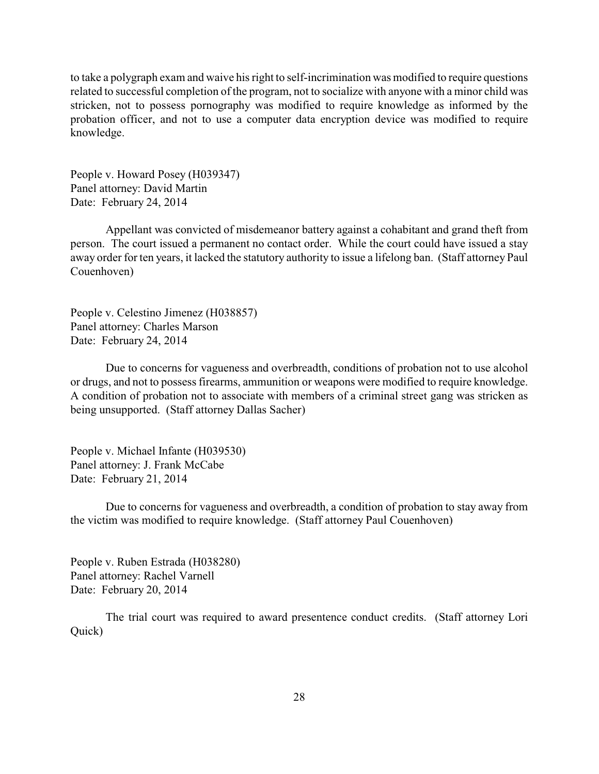to take a polygraph exam and waive his right to self-incrimination was modified to require questions related to successful completion of the program, not to socialize with anyone with a minor child was stricken, not to possess pornography was modified to require knowledge as informed by the probation officer, and not to use a computer data encryption device was modified to require knowledge.

People v. Howard Posey (H039347) Panel attorney: David Martin Date: February 24, 2014

Appellant was convicted of misdemeanor battery against a cohabitant and grand theft from person. The court issued a permanent no contact order. While the court could have issued a stay away order for ten years, it lacked the statutory authority to issue a lifelong ban. (Staff attorney Paul Couenhoven)

People v. Celestino Jimenez (H038857) Panel attorney: Charles Marson Date: February 24, 2014

Due to concerns for vagueness and overbreadth, conditions of probation not to use alcohol or drugs, and not to possess firearms, ammunition or weapons were modified to require knowledge. A condition of probation not to associate with members of a criminal street gang was stricken as being unsupported. (Staff attorney Dallas Sacher)

People v. Michael Infante (H039530) Panel attorney: J. Frank McCabe Date: February 21, 2014

Due to concerns for vagueness and overbreadth, a condition of probation to stay away from the victim was modified to require knowledge. (Staff attorney Paul Couenhoven)

People v. Ruben Estrada (H038280) Panel attorney: Rachel Varnell Date: February 20, 2014

The trial court was required to award presentence conduct credits. (Staff attorney Lori Quick)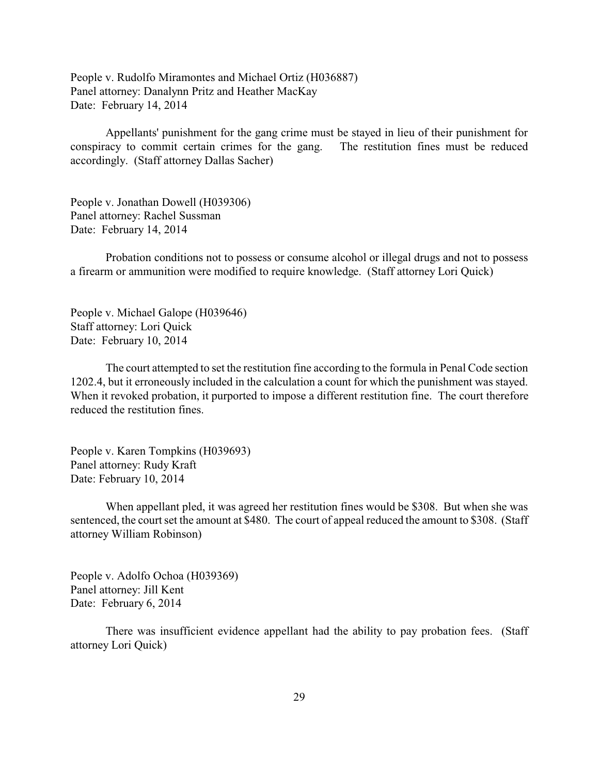People v. Rudolfo Miramontes and Michael Ortiz (H036887) Panel attorney: Danalynn Pritz and Heather MacKay Date: February 14, 2014

Appellants' punishment for the gang crime must be stayed in lieu of their punishment for conspiracy to commit certain crimes for the gang. The restitution fines must be reduced accordingly. (Staff attorney Dallas Sacher)

People v. Jonathan Dowell (H039306) Panel attorney: Rachel Sussman Date: February 14, 2014

Probation conditions not to possess or consume alcohol or illegal drugs and not to possess a firearm or ammunition were modified to require knowledge. (Staff attorney Lori Quick)

People v. Michael Galope (H039646) Staff attorney: Lori Quick Date: February 10, 2014

The court attempted to set the restitution fine according to the formula in Penal Code section 1202.4, but it erroneously included in the calculation a count for which the punishment was stayed. When it revoked probation, it purported to impose a different restitution fine. The court therefore reduced the restitution fines.

People v. Karen Tompkins (H039693) Panel attorney: Rudy Kraft Date: February 10, 2014

When appellant pled, it was agreed her restitution fines would be \$308. But when she was sentenced, the court set the amount at \$480. The court of appeal reduced the amount to \$308. (Staff attorney William Robinson)

People v. Adolfo Ochoa (H039369) Panel attorney: Jill Kent Date: February 6, 2014

There was insufficient evidence appellant had the ability to pay probation fees. (Staff attorney Lori Quick)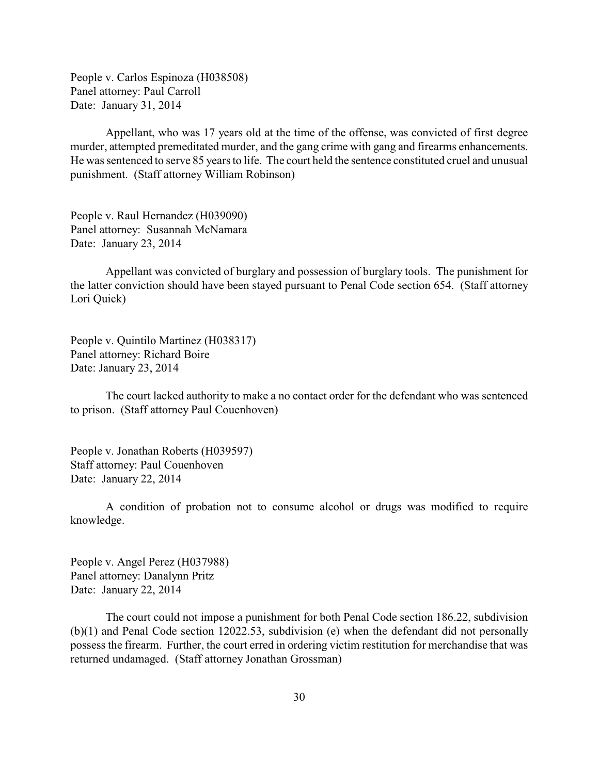People v. Carlos Espinoza (H038508) Panel attorney: Paul Carroll Date: January 31, 2014

Appellant, who was 17 years old at the time of the offense, was convicted of first degree murder, attempted premeditated murder, and the gang crime with gang and firearms enhancements. He was sentenced to serve 85 years to life. The court held the sentence constituted cruel and unusual punishment. (Staff attorney William Robinson)

People v. Raul Hernandez (H039090) Panel attorney: Susannah McNamara Date: January 23, 2014

Appellant was convicted of burglary and possession of burglary tools. The punishment for the latter conviction should have been stayed pursuant to Penal Code section 654. (Staff attorney Lori Quick)

People v. Quintilo Martinez (H038317) Panel attorney: Richard Boire Date: January 23, 2014

The court lacked authority to make a no contact order for the defendant who was sentenced to prison. (Staff attorney Paul Couenhoven)

People v. Jonathan Roberts (H039597) Staff attorney: Paul Couenhoven Date: January 22, 2014

A condition of probation not to consume alcohol or drugs was modified to require knowledge.

People v. Angel Perez (H037988) Panel attorney: Danalynn Pritz Date: January 22, 2014

The court could not impose a punishment for both Penal Code section 186.22, subdivision (b)(1) and Penal Code section 12022.53, subdivision (e) when the defendant did not personally possess the firearm. Further, the court erred in ordering victim restitution for merchandise that was returned undamaged. (Staff attorney Jonathan Grossman)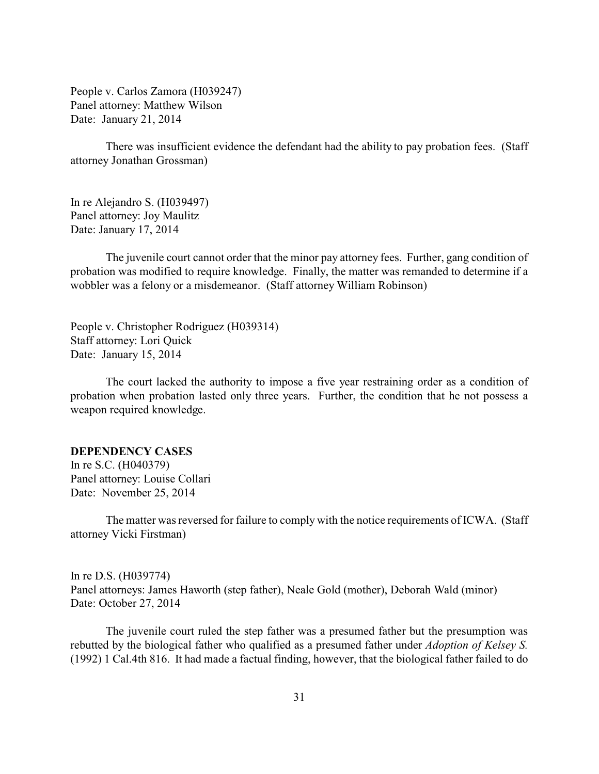<span id="page-30-0"></span>People v. Carlos Zamora (H039247) Panel attorney: Matthew Wilson Date: January 21, 2014

There was insufficient evidence the defendant had the ability to pay probation fees. (Staff attorney Jonathan Grossman)

In re Alejandro S. (H039497) Panel attorney: Joy Maulitz Date: January 17, 2014

The juvenile court cannot order that the minor pay attorney fees. Further, gang condition of probation was modified to require knowledge. Finally, the matter was remanded to determine if a wobbler was a felony or a misdemeanor. (Staff attorney William Robinson)

People v. Christopher Rodriguez (H039314) Staff attorney: Lori Quick Date: January 15, 2014

The court lacked the authority to impose a five year restraining order as a condition of probation when probation lasted only three years. Further, the condition that he not possess a weapon required knowledge.

### **DEPENDENCY CASES**

In re S.C. (H040379) Panel attorney: Louise Collari Date: November 25, 2014

The matter was reversed for failure to comply with the notice requirements of ICWA. (Staff attorney Vicki Firstman)

In re D.S. (H039774) Panel attorneys: James Haworth (step father), Neale Gold (mother), Deborah Wald (minor) Date: October 27, 2014

The juvenile court ruled the step father was a presumed father but the presumption was rebutted by the biological father who qualified as a presumed father under *Adoption of Kelsey S.* (1992) 1 Cal.4th 816. It had made a factual finding, however, that the biological father failed to do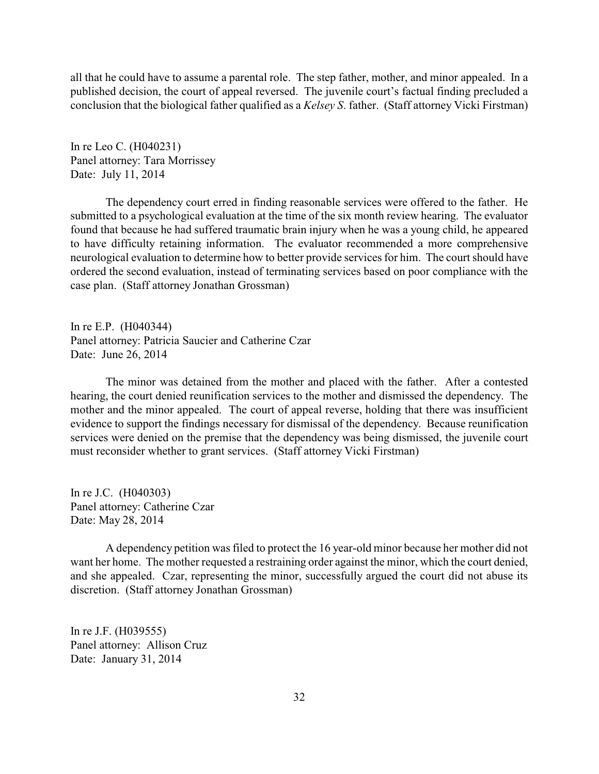all that he could have to assume a parental role. The step father, mother, and minor appealed. In a published decision, the court of appeal reversed. The juvenile court's factual finding precluded a conclusion that the biological father qualified as a *Kelsey S*. father. (Staff attorney Vicki Firstman)

In re Leo C. (H040231) Panel attorney: Tara Morrissey Date: July 11, 2014

The dependency court erred in finding reasonable services were offered to the father. He submitted to a psychological evaluation at the time of the six month review hearing. The evaluator found that because he had suffered traumatic brain injury when he was a young child, he appeared to have difficulty retaining information. The evaluator recommended a more comprehensive neurological evaluation to determine how to better provide services for him. The court should have ordered the second evaluation, instead of terminating services based on poor compliance with the case plan. (Staff attorney Jonathan Grossman)

In re E.P. (H040344) Panel attorney: Patricia Saucier and Catherine Czar Date: June 26, 2014

The minor was detained from the mother and placed with the father. After a contested hearing, the court denied reunification services to the mother and dismissed the dependency. The mother and the minor appealed. The court of appeal reverse, holding that there was insufficient evidence to support the findings necessary for dismissal of the dependency. Because reunification services were denied on the premise that the dependency was being dismissed, the juvenile court must reconsider whether to grant services. (Staff attorney Vicki Firstman)

In re J.C. (H040303) Panel attorney: Catherine Czar Date: May 28, 2014

A dependency petition was filed to protect the 16 year-old minor because her mother did not want her home. The mother requested a restraining order against the minor, which the court denied, and she appealed. Czar, representing the minor, successfully argued the court did not abuse its discretion. (Staff attorney Jonathan Grossman)

In re J.F. (H039555) Panel attorney: Allison Cruz Date: January 31, 2014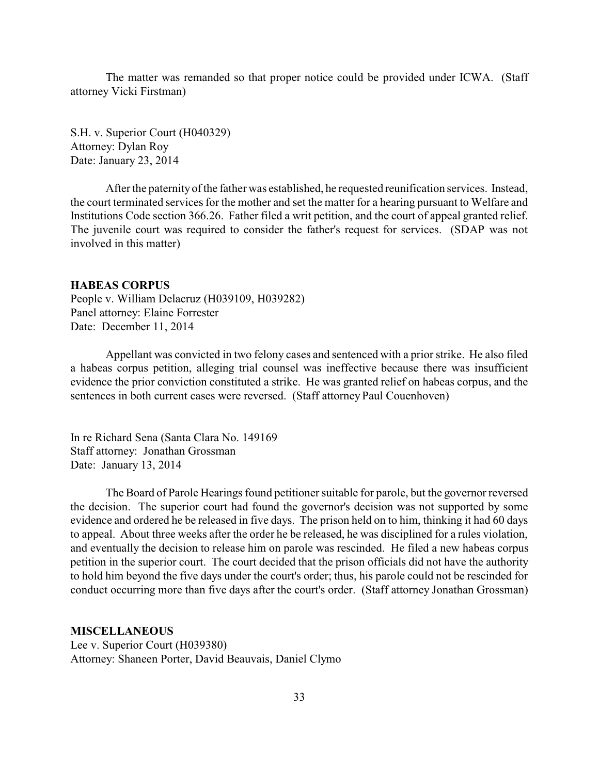<span id="page-32-0"></span>The matter was remanded so that proper notice could be provided under ICWA. (Staff attorney Vicki Firstman)

S.H. v. Superior Court (H040329) Attorney: Dylan Roy Date: January 23, 2014

After the paternity of the father was established, he requested reunification services. Instead, the court terminated services for the mother and set the matter for a hearing pursuant to Welfare and Institutions Code section 366.26. Father filed a writ petition, and the court of appeal granted relief. The juvenile court was required to consider the father's request for services. (SDAP was not involved in this matter)

#### **HABEAS CORPUS**

People v. William Delacruz (H039109, H039282) Panel attorney: Elaine Forrester Date: December 11, 2014

Appellant was convicted in two felony cases and sentenced with a prior strike. He also filed a habeas corpus petition, alleging trial counsel was ineffective because there was insufficient evidence the prior conviction constituted a strike. He was granted relief on habeas corpus, and the sentences in both current cases were reversed. (Staff attorney Paul Couenhoven)

In re Richard Sena (Santa Clara No. 149169 Staff attorney: Jonathan Grossman Date: January 13, 2014

The Board of Parole Hearings found petitioner suitable for parole, but the governor reversed the decision. The superior court had found the governor's decision was not supported by some evidence and ordered he be released in five days. The prison held on to him, thinking it had 60 days to appeal. About three weeks after the order he be released, he was disciplined for a rules violation, and eventually the decision to release him on parole was rescinded. He filed a new habeas corpus petition in the superior court. The court decided that the prison officials did not have the authority to hold him beyond the five days under the court's order; thus, his parole could not be rescinded for conduct occurring more than five days after the court's order. (Staff attorney Jonathan Grossman)

#### **MISCELLANEOUS**

Lee v. Superior Court (H039380) Attorney: Shaneen Porter, David Beauvais, Daniel Clymo